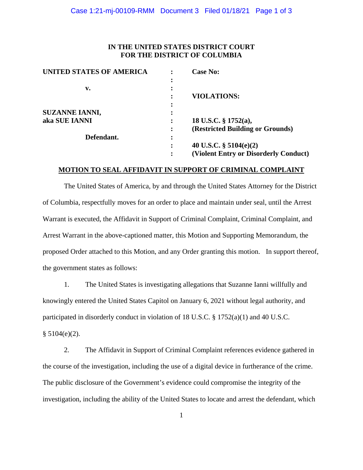## **IN THE UNITED STATES DISTRICT COURT FOR THE DISTRICT OF COLUMBIA**

| <b>UNITED STATES OF AMERICA</b> |                | <b>Case No:</b>                       |
|---------------------------------|----------------|---------------------------------------|
|                                 |                |                                       |
| v.                              | $\bullet$      |                                       |
|                                 |                | <b>VIOLATIONS:</b>                    |
|                                 | ٠              |                                       |
| <b>SUZANNE IANNI,</b>           |                |                                       |
| aka SUE IANNI                   |                | 18 U.S.C. § 1752(a),                  |
|                                 | $\ddot{\cdot}$ | (Restricted Building or Grounds)      |
| Defendant.                      | ٠<br>$\bullet$ |                                       |
|                                 | ٠              | 40 U.S.C. $\S$ 5104(e)(2)             |
|                                 |                | (Violent Entry or Disorderly Conduct) |

#### **MOTION TO SEAL AFFIDAVIT IN SUPPORT OF CRIMINAL COMPLAINT**

The United States of America, by and through the United States Attorney for the District of Columbia, respectfully moves for an order to place and maintain under seal, until the Arrest Warrant is executed, the Affidavit in Support of Criminal Complaint, Criminal Complaint, and Arrest Warrant in the above-captioned matter, this Motion and Supporting Memorandum, the proposed Order attached to this Motion, and any Order granting this motion. In support thereof, the government states as follows:

1. The United States is investigating allegations that Suzanne Ianni willfully and knowingly entered the United States Capitol on January 6, 2021 without legal authority, and participated in disorderly conduct in violation of 18 U.S.C. § 1752(a)(1) and 40 U.S.C.  $§ 5104(e)(2).$ 

2. The Affidavit in Support of Criminal Complaint references evidence gathered in the course of the investigation, including the use of a digital device in furtherance of the crime. The public disclosure of the Government's evidence could compromise the integrity of the investigation, including the ability of the United States to locate and arrest the defendant, which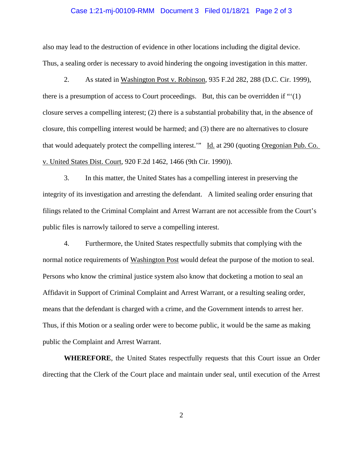#### Case 1:21-mj-00109-RMM Document 3 Filed 01/18/21 Page 2 of 3

also may lead to the destruction of evidence in other locations including the digital device. Thus, a sealing order is necessary to avoid hindering the ongoing investigation in this matter.

2. As stated in Washington Post v. Robinson, 935 F.2d 282, 288 (D.C. Cir. 1999), there is a presumption of access to Court proceedings. But, this can be overridden if "'(1) closure serves a compelling interest; (2) there is a substantial probability that, in the absence of closure, this compelling interest would be harmed; and (3) there are no alternatives to closure that would adequately protect the compelling interest.'" Id. at 290 (quoting Oregonian Pub. Co. v. United States Dist. Court, 920 F.2d 1462, 1466 (9th Cir. 1990)).

3. In this matter, the United States has a compelling interest in preserving the integrity of its investigation and arresting the defendant. A limited sealing order ensuring that filings related to the Criminal Complaint and Arrest Warrant are not accessible from the Court's public files is narrowly tailored to serve a compelling interest.

4. Furthermore, the United States respectfully submits that complying with the normal notice requirements of Washington Post would defeat the purpose of the motion to seal. Persons who know the criminal justice system also know that docketing a motion to seal an Affidavit in Support of Criminal Complaint and Arrest Warrant, or a resulting sealing order, means that the defendant is charged with a crime, and the Government intends to arrest her. Thus, if this Motion or a sealing order were to become public, it would be the same as making public the Complaint and Arrest Warrant.

**WHEREFORE**, the United States respectfully requests that this Court issue an Order directing that the Clerk of the Court place and maintain under seal, until execution of the Arrest

2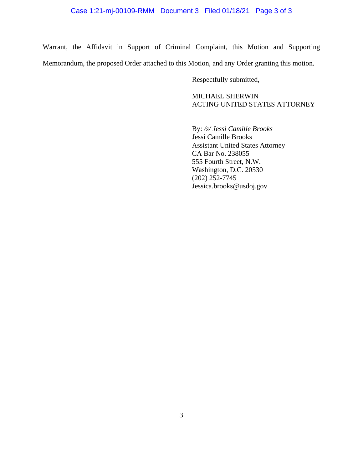Warrant, the Affidavit in Support of Criminal Complaint, this Motion and Supporting Memorandum, the proposed Order attached to this Motion, and any Order granting this motion.

Respectfully submitted,

MICHAEL SHERWIN ACTING UNITED STATES ATTORNEY

By: */s/ Jessi Camille Brooks*  Jessi Camille Brooks Assistant United States Attorney CA Bar No. 238055 555 Fourth Street, N.W. Washington, D.C. 20530 (202) 252-7745 Jessica.brooks@usdoj.gov